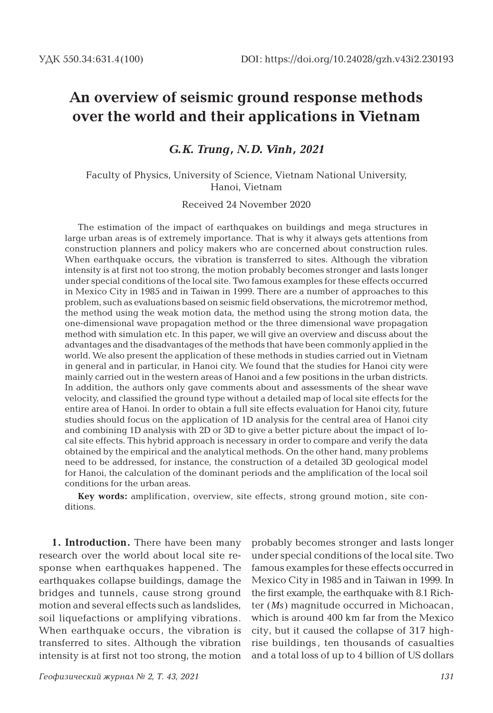# **An overview of seismic ground response methods over the world and their applications in Vietnam**

*G.K. Trung, N.D. Vinh, 2021*

Faculty of Physics, University of Science, Vietnam National University, Hanoi, Vietnam

Received 24 November 2020

The estimation of the impact of earthquakes on buildings and mega structures in large urban areas is of extremely importance. That is why it always gets attentions from construction planners and policy makers who are concerned about construction rules. When earthquake occurs, the vibration is transferred to sites. Although the vibration intensity is at first not too strong, the motion probably becomes stronger and lasts longer under special conditions of the local site. Two famous examples for these effects occurred in Mexico City in 1985 and in Taiwan in 1999. There are a number of approaches to this problem, such as evaluations based on seismic field observations, the microtremor method, the method using the weak motion data, the method using the strong motion data, the one-dimensional wave propagation method or the three dimensional wave propagation method with simulation etc. In this paper, we will give an overview and discuss about the advantages and the disadvantages of the methods that have been commonly applied in the world. We also present the application of these methods in studies carried out in Vietnam in general and in particular, in Hanoi city. We found that the studies for Hanoi city were mainly carried out in the western areas of Hanoi and a few positions in the urban districts. In addition, the authors only gave comments about and assessments of the shear wave velocity, and classified the ground type without a detailed map of local site effects for the entire area of Hanoi. In order to obtain a full site effects evaluation for Hanoi city, future studies should focus on the application of 1D analysis for the central area of Hanoi city and combining 1D analysis with 2D or 3D to give a better picture about the impact of local site effects. This hybrid approach is necessary in order to compare and verify the data obtained by the empirical and the analytical methods. On the other hand, many problems need to be addressed, for instance, the construction of a detailed 3D geological model for Hanoi, the calculation of the dominant periods and the amplification of the local soil conditions for the urban areas.

**Key words:** amplification, overview, site effects, strong ground motion, site conditions.

**1. Introduction.** There have been many research over the world about local site response when earthquakes happened. The earthquakes collapse buildings, damage the bridges and tunnels, cause strong ground motion and several effects such as landslides, soil liquefactions or amplifying vibrations. When earthquake occurs, the vibration is transferred to sites. Although the vibration intensity is at first not too strong, the motion probably becomes stronger and lasts longer under special conditions of the local site. Two famous examples for these effects occurred in Mexico City in 1985 and in Taiwan in 1999. In the first example, the earthquake with 8.1 Richter (*Ms*) magnitude occurred in Michoacan, which is around 400 km far from the Mexico city, but it caused the collapse of 317 highrise buildings , ten thousands of casualties and a total loss of up to 4 billion of US dollars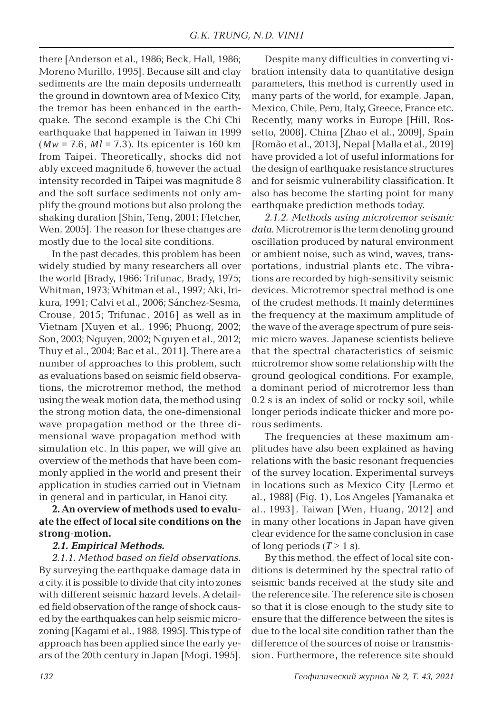there [Anderson et al., 1986; Beck, Hall, 1986; Moreno Murillo, 1995]. Because silt and clay sediments are the main deposits underneath the ground in downtown area of Mexico City, the tremor has been enhanced in the earthquake. The second example is the Chi Chi earthquake that happened in Taiwan in 1999  $(Mw = 7.6, Ml = 7.3)$ . Its epicenter is 160 km from Taipei. Theoretically, shocks did not ably exceed magnitude 6, however the actual intensity recorded in Taipei was magnitude 8 and the soft surface sediments not only amplify the ground motions but also prolong the shaking duration [Shin, Teng, 2001; Fletcher, Wen, 2005]. The reason for these changes are mostly due to the local site conditions.

In the past decades, this problem has been widely studied by many researchers all over the world [Brady, 1966; Trifunac, Brady, 1975; Whitman, 1973; Whitman et al., 1997; Aki, Irikura, 1991; Calvi et al., 2006; Sánchez-Sesma, Crouse, 2015; Trifunac, 2016] as well as in Vietnam [Xuyen et al., 1996; Phuong, 2002; Son, 2003; Nguyen, 2002; Nguyen et al., 2012; Thuy et al., 2004; Bac et al., 2011]. There are a number of approaches to this problem, such as evaluations based on seismic field observations, the microtremor method, the method using the weak motion data, the method using the strong motion data, the one-dimensional wave propagation method or the three dimensional wave propagation method with simulation etc. In this paper, we will give an overview of the methods that have been commonly applied in the world and present their application in studies carried out in Vietnam in general and in particular, in Hanoi city.

### **2. An overview of methods used to evaluate the effect of local site conditions on the strong-motion.**

#### *2.1. Empirical Methods.*

*2.1.1. Method based on field observations.* By surveying the earthquake damage data in a city, it is possible to divide that city into zones with different seismic hazard levels. A detailed field observation of the range of shock caused by the earthquakes can help seismic microzoning [Kagami et al., 1988, 1995]. This type of approach has been applied since the early years of the 20th century in Japan [Mogi, 1995].

Despite many difficulties in converting vibration intensity data to quantitative design parameters, this method is currently used in many parts of the world, for example, Japan, Mexico, Chile, Peru, Italy, Greece, France etc. Recently, many works in Europe [Hill, Rossetto, 2008], China [Zhao et al., 2009], Spain [Romão et al., 2013], Nepal [Malla et al., 2019] have provided a lot of useful informations for the design of earthquake resistance structures and for seismic vulnerability classification. It also has become the starting point for many earthquake prediction methods today.

*2.1.2. Methods using microtremor seismic data.*Microtremor is the term denoting ground oscillation produced by natural environment or ambient noise, such as wind, waves, transportations, industrial plants etc. The vibrations are recorded by high-sensitivity seismic devices. Microtremor spectral method is one of the crudest methods. It mainly determines the frequency at the maximum amplitude of the wave of the average spectrum of pure seismic micro waves. Japanese scientists believe that the spectral characteristics of seismic microtremor show some relationship with the ground geological conditions. For example, a dominant period of microtremor less than 0.2 s is an index of solid or rocky soil, while longer periods indicate thicker and more porous sediments.

The frequencies at these maximum amplitudes have also been explained as having relations with the basic resonant frequencies of the survey location. Experimental surveys in locations such as Mexico City [Lermo et al., 1988] (Fig. 1), Los Angeles [Yamanaka et al., 1993], Taiwan [Wen, Huang, 2012] and in many other locations in Japan have given clear evidence for the same conclusion in case of long periods  $(T > 1$  s).

By this method, the effect of local site conditions is determined by the spectral ratio of seismic bands received at the study site and the reference site. The reference site is chosen so that it is close enough to the study site to ensure that the difference between the sites is due to the local site condition rather than the difference of the sources of noise or transmission. Furthermore, the reference site should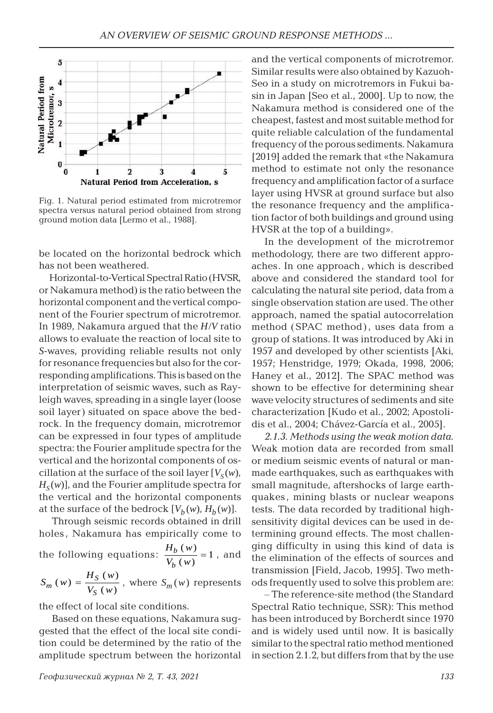

Fig. 1. Natural period estimated from microtremor spectra versus natural period obtained from strong ground motion data [Lermo et al., 1988].

be located on the horizontal bedrock which has not been weathered.

Horizontal-to-Vertical Spectral Ratio (HVSR, or Nakamura method) is the ratio between the horizontal component and the vertical component of the Fourier spectrum of microtremor. In 1989, Nakamura argued that the *H*/*V* ratio allows to evaluate the reaction of local site to *S*-waves, providing reliable results not only for resonance frequencies but also for the corresponding amplifications. This is based on the interpretation of seismic waves, such as Rayleigh waves, spreading in a single layer (loose soil layer) situated on space above the bedrock. In the frequency domain, microtremor can be expressed in four types of amplitude spectra: the Fourier amplitude spectra for the vertical and the horizontal components of oscillation at the surface of the soil layer  $[V_s(w)]$  $H<sub>S</sub>(w)$ , and the Fourier amplitude spectra for the vertical and the horizontal components at the surface of the bedrock  $[V_b(w), H_b(w)]$ .

Through seismic records obtained in drill holes, Nakamura has empirically come to the following equations:  $(w)$ *b b*  $\frac{H_b(w)}{V_b(w)} = 1$ , and

$$
S_m(w) = \frac{H_S(w)}{V_S(w)},
$$
 where  $S_m(w)$  represents

the effect of local site conditions.

Based on these equations, Nakamura suggested that the effect of the local site condition could be determined by the ratio of the amplitude spectrum between the horizontal and the vertical components of microtremor. Similar results were also obtained by Kazuoh-Seo in a study on microtremors in Fukui basin in Japan [Seo et al., 2000]. Up to now, the Nakamura method is considered one of the cheapest, fastest and most suitable method for quite reliable calculation of the fundamental frequency of the porous sediments. Nakamura [2019] added the remark that «the Nakamura method to estimate not only the resonance frequency and amplification factor of a surface layer using HVSR at ground surface but also the resonance frequency and the amplification factor of both buildings and ground using HVSR at the top of a building».

In the development of the microtremor methodology, there are two different approaches. In one approach , which is described above and considered the standard tool for calculating the natural site period, data from a single observation station are used. The other approach, named the spatial autocorrelation method (SPAC method) , uses data from a group of stations. It was introduced by Aki in 1957 and developed by other scientists [Aki, 1957; Henstridge, 1979; Okada, 1998, 2006; Haney et al., 2012]. The SPAC method was shown to be effective for determining shear wave velocity structures of sediments and site characterization [Kudo et al., 2002; Apostolidis et al., 2004; Chávez-García et al., 2005].

*2.1.3. Methods using the weak motion data.* Weak motion data are recorded from small or medium seismic events of natural or manmade earthquakes, such as earthquakes with small magnitude, aftershocks of large earthquakes , mining blasts or nuclear weapons tests. The data recorded by traditional highsensitivity digital devices can be used in determining ground effects. The most challenging difficulty in using this kind of data is the elimination of the effects of sources and transmission [Field, Jacob, 1995]. Two methods frequently used to solve this problem are:

– The reference-site method (the Standard Spectral Ratio technique, SSR): This method has been introduced by Borcherdt since 1970 and is widely used until now. It is basically similar to the spectral ratio method mentioned in section 2.1.2, but differs from that by the use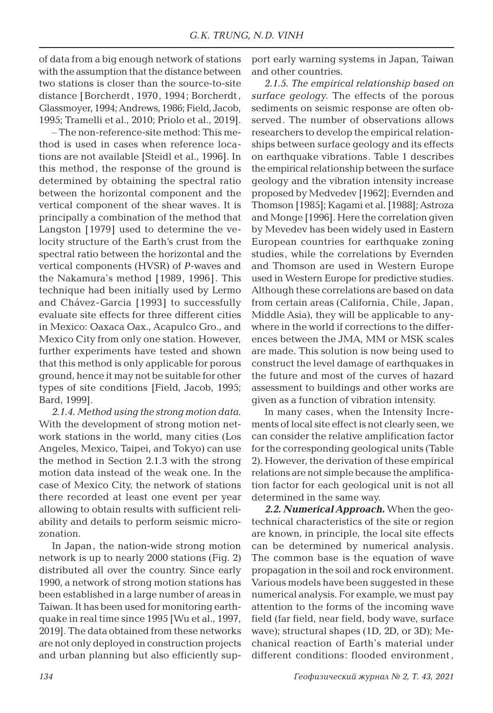of data from a big enough network of stations with the assumption that the distance between two stations is closer than the source-to-site distance [Borcherdt , 1970, 1994; Borcherdt , Glassmoyer, 1994;Andrews, 1986; Field, Jacob, 1995; Tramelli et al., 2010; Priolo et al., 2019].

– The non-reference-site method: This method is used in cases when reference locations are not available [Steidl et al., 1996]. In this method, the response of the ground is determined by obtaining the spectral ratio between the horizontal component and the vertical component of the shear waves. It is principally a combination of the method that Langston [1979] used to determine the velocity structure of the Earth's crust from the spectral ratio between the horizontal and the vertical components (HVSR) of *P*-waves and the Nakamura's method [1989, 1996]. This technique had been initially used by Lermo and Chávez-Garcia [1993] to successfully evaluate site effects for three different cities in Mexico: Oaxaca Oax., Acapulco Gro., and Mexico City from only one station. However, further experiments have tested and shown that this method is only applicable for porous ground, hence it may not be suitable for other types of site conditions [Field, Jacob, 1995; Bard, 1999].

*2.1.4. Method using the strong motion data.* With the development of strong motion network stations in the world, many cities (Los Angeles, Mexico, Taipei, and Tokyo) can use the method in Section 2.1.3 with the strong motion data instead of the weak one. In the case of Mexico City, the network of stations there recorded at least one event per year allowing to obtain results with sufficient reliability and details to perform seismic microzonation.

In Japan, the nation-wide strong motion network is up to nearly 2000 stations (Fig. 2) distributed all over the country. Since early 1990, a network of strong motion stations has been established in a large number of areas in Taiwan. It has been used for monitoring earthquake in real time since 1995 [Wu et al., 1997, 2019]. The data obtained from these networks are not only deployed in construction projects and urban planning but also efficiently support early warning systems in Japan, Taiwan and other countries.

*2.1.5. The empirical relationship based on surface geology.* The effects of the porous sediments on seismic response are often observed. The number of observations allows researchers to develop the empirical relationships between surface geology and its effects on earthquake vibrations. Table 1 describes the empirical relationship between the surface geology and the vibration intensity increase proposed by Medvedev [1962]; Evernden and Thomson [1985]; Kagami et al. [1988]; Astroza and Monge [1996]. Here the correlation given by Mevedev has been widely used in Eastern European countries for earthquake zoning studies, while the correlations by Evernden and Thomson are used in Western Europe used in Western Europe for predictive studies. Although these correlations are based on data from certain areas (California, Chile, Japan, Middle Asia), they will be applicable to anywhere in the world if corrections to the differences between the JMA, MM or MSK scales are made. This solution is now being used to construct the level damage of earthquakes in the future and most of the curves of hazard assessment to buildings and other works are given as a function of vibration intensity.

In many cases, when the Intensity Increments of local site effect is not clearly seen, we can consider the relative amplification factor for the corresponding geological units (Table 2). However, the derivation of these empirical relations are not simple because the amplification factor for each geological unit is not all determined in the same way.

*2.2. Numerical Approach.* When the geotechnical characteristics of the site or region are known, in principle, the local site effects can be determined by numerical analysis. The common base is the equation of wave propagation in the soil and rock environment. Various models have been suggested in these numerical analysis. For example, we must pay attention to the forms of the incoming wave field (far field, near field, body wave, surface wave); structural shapes (1D, 2D, or 3D); Mechanical reaction of Earth's material under different conditions: flooded environment ,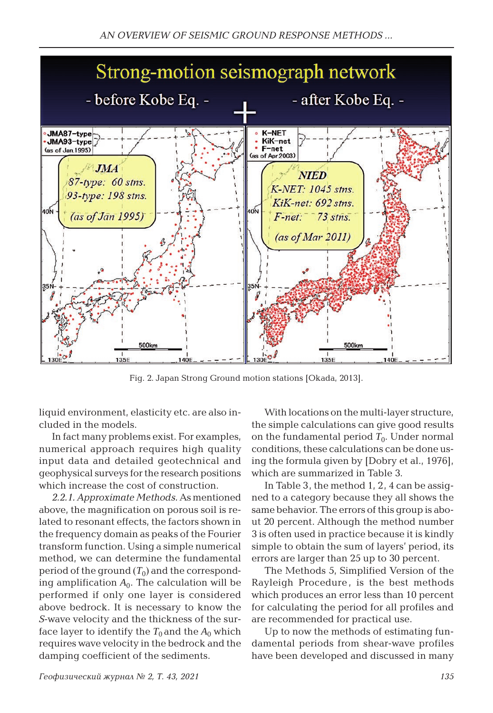

Fig. 2. Japan Strong Ground motion stations [Okada, 2013].

liquid environment, elasticity etc. are also included in the models.

In fact many problems exist. For examples, numerical approach requires high quality input data and detailed geotechnical and geophysical surveys for the research positions which increase the cost of construction.

*2.2.1. Approximate Methods.* As mentioned above, the magnification on porous soil is related to resonant effects, the factors shown in the frequency domain as peaks of the Fourier transform function. Using a simple numerical method, we can determine the fundamental period of the ground  $(T_0)$  and the corresponding amplification  $A_0$ . The calculation will be performed if only one layer is considered above bedrock. It is necessary to know the *S*-wave velocity and the thickness of the surface layer to identify the  $T_0$  and the  $A_0$  which requires wave velocity in the bedrock and the damping coefficient of the sediments.

With locations on the multi-layer structure, the simple calculations can give good results on the fundamental period  $T_0$ . Under normal conditions, these calculations can be done using the formula given by [Dobry et al., 1976], which are summarized in Table 3.

In Table 3, the method 1, 2, 4 can be assigned to a category because they all shows the same behavior. The errors of this group is about 20 percent. Although the method number 3 is often used in practice because it is kindly simple to obtain the sum of layers' period, its errors are larger than 25 up to 30 percent.

The Methods 5, Simplified Version of the Rayleigh Procedure , is the best methods which produces an error less than 10 percent for calculating the period for all profiles and are recommended for practical use.

Up to now the methods of estimating fundamental periods from shear-wave profiles have been developed and discussed in many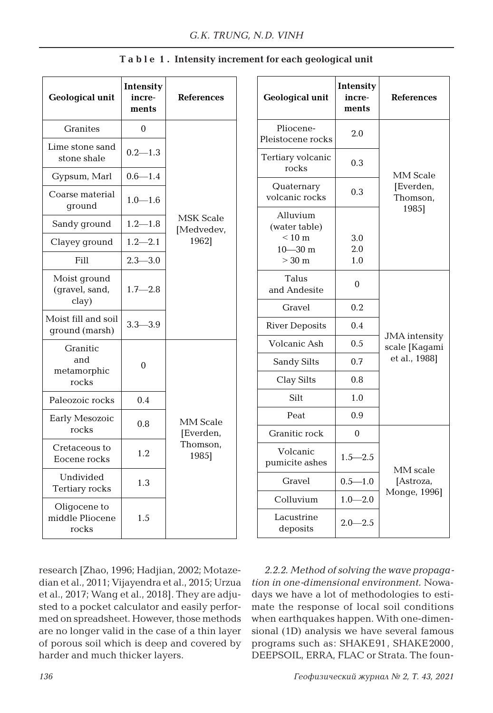| <b>Geological unit</b>                   | Intensity<br>incre-<br>ments | <b>References</b>                          |  |  |
|------------------------------------------|------------------------------|--------------------------------------------|--|--|
| <b>Granites</b>                          | 0                            |                                            |  |  |
| Lime stone sand<br>stone shale           | $0.2 - 1.3$                  |                                            |  |  |
| Gypsum, Marl                             | $0.6 - 1.4$                  |                                            |  |  |
| Coarse material<br>qround                | $1.0 - 1.6$                  |                                            |  |  |
| Sandy ground                             | $1.2 - 1.8$                  | <b>MSK Scale</b><br>[Medvedev,             |  |  |
| Clayey ground                            | $1.2 - 2.1$                  | 1962]                                      |  |  |
| Fill                                     | $2.3 - 3.0$                  |                                            |  |  |
| Moist ground<br>(qravel, sand,<br>clay)  | $1.7 - 2.8$                  |                                            |  |  |
| Moist fill and soil<br>ground (marsh)    | $3.3 - 3.9$                  |                                            |  |  |
| Granitic<br>and<br>metamorphic<br>rocks  | 0                            |                                            |  |  |
| Paleozoic rocks                          | 0.4                          |                                            |  |  |
| Early Mesozoic<br>rocks                  | 0.8                          | MM Scale<br>[Everden,<br>Thomson,<br>1985] |  |  |
| Cretaceous to<br>Eocene rocks            | 1.2                          |                                            |  |  |
| Undivided<br>Tertiary rocks              | 1.3                          |                                            |  |  |
| Oligocene to<br>middle Pliocene<br>rocks | 1.5                          |                                            |  |  |

### **T a b l e 1 . Intensity increment for each geological unit**

research [Zhao, 1996; Hadjian, 2002; Motazedian et al., 2011; Vijayendra et al., 2015; Urzua et al., 2017; Wang et al., 2018]. They are adjusted to a pocket calculator and easily performed on spreadsheet. However, those methods are no longer valid in the case of a thin layer of porous soil which is deep and covered by harder and much thicker layers.

| <b>Geological unit</b>                                                  | Intensity<br>incre-<br>ments | <b>References</b>                     |  |
|-------------------------------------------------------------------------|------------------------------|---------------------------------------|--|
| Pliocene-<br>Pleistocene rocks                                          | 2.0                          |                                       |  |
| Tertiary volcanic<br>rocks                                              | 0.3                          | MM Scale                              |  |
| Quaternary<br>volcanic rocks                                            | 0.3                          | [Everden,<br>Thomson,                 |  |
| Alluvium<br>(water table)<br>$< 10 \text{ m}$<br>$10 - 30$ m<br>$>30$ m | 3.0<br>2.0<br>1.0            | 1985]                                 |  |
| Talus<br>and Andesite                                                   | $\theta$                     |                                       |  |
| Gravel                                                                  | 0.2                          |                                       |  |
| <b>River Deposits</b>                                                   | 0.4                          |                                       |  |
| Volcanic Ash                                                            | 0.5                          | <b>JMA</b> intensity<br>scale [Kagami |  |
| Sandy Silts                                                             | 0.7                          | et al., 1988]                         |  |
| Clay Silts                                                              | 0.8                          |                                       |  |
| Silt                                                                    | 1.0                          |                                       |  |
| Peat                                                                    | 0.9                          |                                       |  |
| Granitic rock                                                           | 0                            |                                       |  |
| Volcanic<br>pumicite ashes                                              | $1.5 - 2.5$                  | MM scale                              |  |
| Gravel                                                                  | $0.5 - 1.0$                  | [Astroza,                             |  |
| Colluvium                                                               | $1.0 - 2.0$                  | Monge, 1996]                          |  |
| Lacustrine<br>deposits                                                  | $2.0 - 2.5$                  |                                       |  |

*2.2.2. Method of solving the wave propagation in one-dimensional environment.* Nowadays we have a lot of methodologies to estimate the response of local soil conditions when earthquakes happen. With one-dimensional (1D) analysis we have several famous programs such as: SHAKE91, SHAKE2000, DEEPSOIL, ERRA, FLAC or Strata. The foun-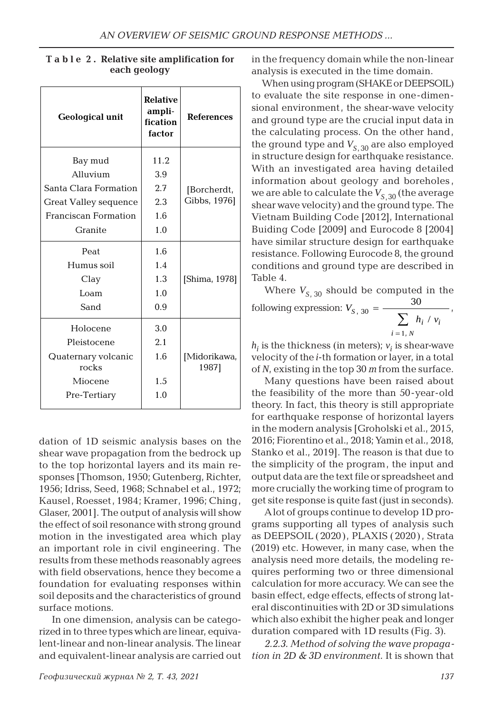| <b>Geological unit</b>       | <b>Relative</b><br>ampli-<br>fication<br>factor | <b>References</b>     |
|------------------------------|-------------------------------------------------|-----------------------|
| Bay mud                      | 11.2                                            |                       |
| Alluvium                     | 3.9                                             |                       |
| Santa Clara Formation        | 2.7                                             | [Borcherdt,           |
| Great Valley sequence        | 2.3                                             | Gibbs, 1976]          |
| Franciscan Formation         | 1.6                                             |                       |
| Granite                      | 1.0                                             |                       |
| Peat                         | 1.6                                             |                       |
| Humus soil                   | 1.4                                             |                       |
| Clay                         | 1.3                                             | [Shima, 1978]         |
| Loam                         | 1.0                                             |                       |
| Sand                         | 0.9                                             |                       |
| Holocene                     | 3.0                                             |                       |
| Pleistocene                  | 2.1                                             |                       |
| Quaternary volcanic<br>rocks | 1.6                                             | [Midorikawa,<br>1987] |
| Miocene                      | 1.5                                             |                       |
| Pre-Tertiary                 | 1.0                                             |                       |

**T a b l e 2 . Relative site amplification for each geology**

dation of 1D seismic analysis bases on the shear wave propagation from the bedrock up to the top horizontal layers and its main responses [Thomson, 1950; Gutenberg, Richter, 1956; Idriss, Seed, 1968; Schnabel et al., 1972; Kausel, Roesset, 1984; Kramer, 1996; Ching, Glaser, 2001]. The output of analysis will show the effect of soil resonance with strong ground motion in the investigated area which play an important role in civil engineering. The results from these methods reasonably agrees with field observations, hence they become a foundation for evaluating responses within soil deposits and the characteristics of ground surface motions.

In one dimension, analysis can be categorized in to three types which are linear, equivalent-linear and non-linear analysis. The linear and equivalent-linear analysis are carried out in the frequency domain while the non-linear analysis is executed in the time domain.

When using program (SHAKE or DEEPSOIL) to evaluate the site response in one-dimensional environment, the shear-wave velocity and ground type are the crucial input data in the calculating process. On the other hand, the ground type and  $V_{S,30}$  are also employed in structure design for earthquake resistance. With an investigated area having detailed information about geology and boreholes , we are able to calculate the  $V_{S,30}$  (the average shear wave velocity) and the ground type. The Vietnam Building Code [2012], International Buiding Code [2009] and Eurocode 8 [2004] have similar structure design for earthquake resistance. Following Eurocode 8, the ground conditions and ground type are described in Table 4.

Where  $V_{S, 30}$  should be computed in the following expression:  $s, 30 - \frac{1}{\sum h_i}$ *N i i i V*  $h_i \, / \, v$ =  $n_1$  30 =  $\frac{30}{\sum h_i / v_i}$ 1 ,

 $h_i$  is the thickness (in meters);  $v_i$  is shear-wave velocity of the *i*-th formation or layer, in a total of *N*, existing in the top 30 *m* from the surface.

Many questions have been raised about the feasibility of the more than 50-year-old theory. In fact, this theory is still appropriate for earthquake response of horizontal layers in the modern analysis [Groholski et al., 2015, 2016; Fiorentino et al., 2018; Yamin et al., 2018, Stanko et al., 2019]. The reason is that due to the simplicity of the program, the input and output data are the text file or spreadsheet and more crucially the working time of program to get site response is quite fast (just in seconds).

A lot of groups continue to develop 1D programs supporting all types of analysis such as DEEPSOIL (2020), PLAXIS (2020) , Strata (2019) etc. However, in many case, when the analysis need more details, the modeling requires performing two or three dimensional calculation for more accuracy. We can see the basin effect, edge effects, effects of strong lateral discontinuities with 2D or 3D simulations which also exhibit the higher peak and longer duration compared with 1D results (Fig. 3).

*2.2.3. Method of solving the wave propagation in 2D & 3D environment.* It is shown that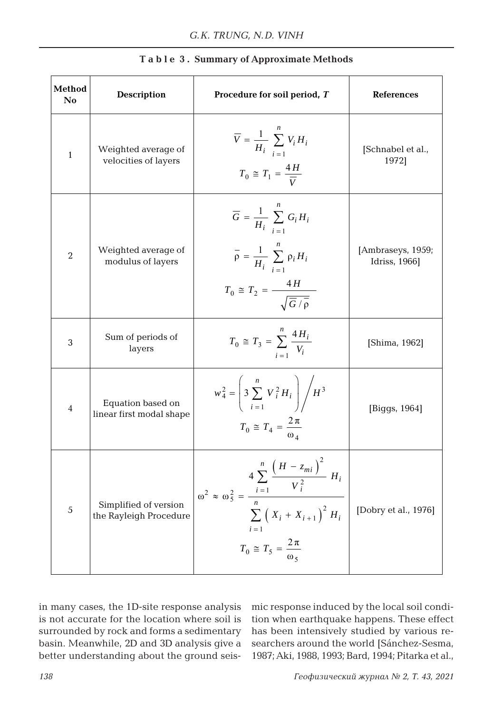| Method<br>No   | <b>Description</b>                              | Procedure for soil period, T                                                                                                                                                              | <b>References</b>                  |  |
|----------------|-------------------------------------------------|-------------------------------------------------------------------------------------------------------------------------------------------------------------------------------------------|------------------------------------|--|
| 1              | Weighted average of<br>velocities of layers     | $\overline{V} = \frac{1}{H_i} \sum_{i=1}^{n} V_i H_i$<br>$T_0 \cong T_1 = \frac{4H}{\overline{V}}$                                                                                        | [Schnabel et al.,<br>1972]         |  |
| $\overline{2}$ | Weighted average of<br>modulus of layers        | $\overline{G} = \frac{1}{H_i} \sum_i G_i H_i$<br>$\overline{\rho} = \frac{1}{H_i} \sum_{i=1}^{n} \rho_i H_i$<br>$T_0 \cong T_2 = \frac{4H}{\sqrt{\overline{G}/\overline{Q}}}$             | [Ambraseys, 1959;<br>Idriss, 1966] |  |
| 3              | Sum of periods of<br>layers                     | $T_0 \cong T_3 = \sum_{i=1}^{n} \frac{4H_i}{V_i}$                                                                                                                                         | [Shima, 1962]                      |  |
| 4              | Equation based on<br>linear first modal shape   | $w_4^2 = \left(3 \sum_{i=1}^n V_i^2 H_i\right) / H^3$<br>$T_0 \cong T_4 = \frac{2\pi}{\omega_4}$                                                                                          | [Biggs, 1964]                      |  |
| 5              | Simplified of version<br>the Rayleigh Procedure | $4 \sum_{i=1}^{n} \frac{(H - z_{mi})^2}{2} H_i$<br>$\omega^2 \approx \omega_5^2 = \frac{i=1}{\omega}$<br>$\sum (X_i + X_{i+1})^2 H_i$<br>$i=1$<br>$T_0 \cong T_5 = \frac{2\pi}{\omega_5}$ | [Dobry et al., 1976]               |  |

|  |  |  |  | Table 3. Summary of Approximate Methods |
|--|--|--|--|-----------------------------------------|
|--|--|--|--|-----------------------------------------|

in many cases, the 1D-site response analysis is not accurate for the location where soil is surrounded by rock and forms a sedimentary basin. Meanwhile, 2D and 3D analysis give a better understanding about the ground seismic response induced by the local soil condition when earthquake happens. These effect has been intensively studied by various researchers around the world [Sánchez-Sesma, 1987; Aki, 1988, 1993; Bard, 1994; Pitarka et al.,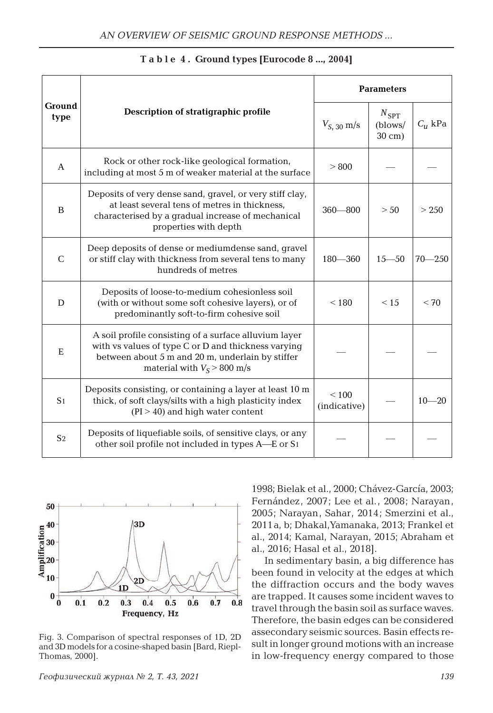| Ground<br>type |                                                                                                                                                                                                   | <b>Parameters</b>     |                                               |               |  |
|----------------|---------------------------------------------------------------------------------------------------------------------------------------------------------------------------------------------------|-----------------------|-----------------------------------------------|---------------|--|
|                | Description of stratigraphic profile                                                                                                                                                              | $V_{S, 30}$ m/s       | $N_{\rm SPT}$<br>(blows/<br>$30 \text{ cm}$ ) | $C_{\mu}$ kPa |  |
| $\mathsf{A}$   | Rock or other rock-like geological formation,<br>including at most 5 m of weaker material at the surface                                                                                          | > 800                 |                                               |               |  |
| B              | Deposits of very dense sand, gravel, or very stiff clay,<br>at least several tens of metres in thickness,<br>characterised by a gradual increase of mechanical<br>properties with depth           | $360 - 800$           | > 50                                          | > 2.50        |  |
| $\mathcal{C}$  | Deep deposits of dense or mediumdense sand, gravel<br>or stiff clay with thickness from several tens to many<br>hundreds of metres                                                                | $180 - 360$           | $15 - 50$                                     | $70 - 250$    |  |
| D              | Deposits of loose-to-medium cohesionless soil<br>(with or without some soft cohesive layers), or of<br>predominantly soft-to-firm cohesive soil                                                   | < 180                 | < 1.5                                         | < 70          |  |
| E              | A soil profile consisting of a surface alluvium layer<br>with vs values of type C or D and thickness varying<br>between about 5 m and 20 m, underlain by stiffer<br>material with $V_s > 800$ m/s |                       |                                               |               |  |
| S <sub>1</sub> | Deposits consisting, or containing a layer at least 10 m<br>thick, of soft clays/silts with a high plasticity index<br>$(PI > 40)$ and high water content                                         | < 100<br>(indicative) |                                               | $10 - 20$     |  |
| S <sub>2</sub> | Deposits of liquefiable soils, of sensitive clays, or any<br>other soil profile not included in types A—E or S1                                                                                   |                       |                                               |               |  |

**T a b l e 4 . Ground types [Eurocode 8 ..., 2004]**



Fig. 3. Comparison of spectral responses of 1D, 2D and 3D models for a cosine-shaped basin [Bard, Riepl-Thomas, 2000].

1998; Bielak et al., 2000; Chávez-García, 2003; Fernández, 2007; Lee et al., 2008; Narayan, 2005; Narayan, Sahar, 2014; Smerzini et al., 2011a, b; Dhakal,Yamanaka, 2013; Frankel et al., 2014; Kamal, Narayan, 2015; Abraham et al., 2016; Hasal et al., 2018].

In sedimentary basin, a big difference has been found in velocity at the edges at which the diffraction occurs and the body waves are trapped. It causes some incident waves to travel through the basin soil as surface waves. Therefore, the basin edges can be considered assecondary seismic sources. Basin effects result in longer ground motions with an increase in low-frequency energy compared to those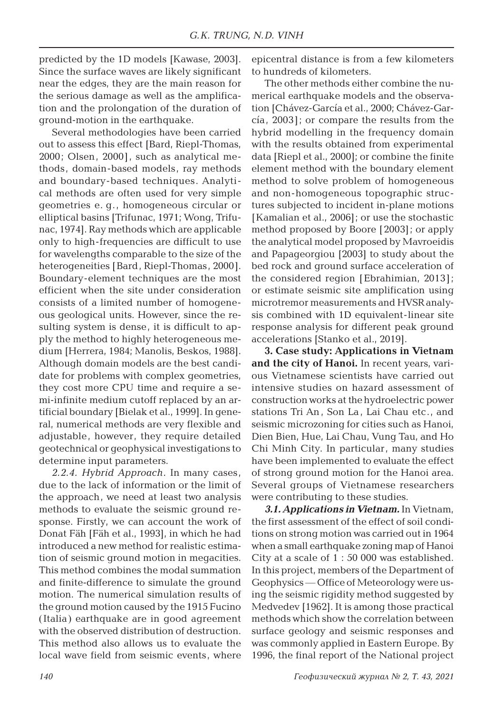predicted by the 1D models [Kawase, 2003]. Since the surface waves are likely significant near the edges, they are the main reason for the serious damage as well as the amplification and the prolongation of the duration of ground-motion in the earthquake.

Several methodologies have been carried out to assess this effect [Bard, Riepl-Thomas, 2000; Olsen, 2000], such as analytical methods, domain-based models, ray methods and boundary-based techniques. Analytical methods are often used for very simple geometries e. g., homogeneous circular or elliptical basins [Trifunac, 1971; Wong, Trifunac, 1974]. Ray methods which are applicable only to high-frequencies are difficult to use for wavelengths comparable to the size of the heterogeneities [Bard, Riepl-Thomas, 2000]. Boundary-element techniques are the most efficient when the site under consideration consists of a limited number of homogeneous geological units. However, since the resulting system is dense, it is difficult to apply the method to highly heterogeneous medium [Herrera, 1984; Manolis, Beskos, 1988]. Although domain models are the best candidate for problems with complex geometries, they cost more CPU time and require a semi-infinite medium cutoff replaced by an artificial boundary [Bielak et al., 1999]. In general, numerical methods are very flexible and adjustable, however, they require detailed geotechnical or geophysical investigations to determine input parameters.

*2.2.4. Hybrid Approach.* In many cases, due to the lack of information or the limit of the approach, we need at least two analysis methods to evaluate the seismic ground response. Firstly, we can account the work of Donat Fäh [Fäh et al., 1993], in which he had introduced a new method for realistic estimation of seismic ground motion in megacities. This method combines the modal summation and finite-difference to simulate the ground motion. The numerical simulation results of the ground motion caused by the 1915 Fucino (Italia) earthquake are in good agreement with the observed distribution of destruction. This method also allows us to evaluate the local wave field from seismic events, where

epicentral distance is from a few kilometers to hundreds of kilometers.

The other methods either combine the numerical earthquake models and the observation [Chávez-García et al., 2000; Chávez-García, 2003]; or compare the results from the hybrid modelling in the frequency domain with the results obtained from experimental data [Riepl et al., 2000]; or combine the finite element method with the boundary element method to solve problem of homogeneous and non-homogeneous topographic structures subjected to incident in-plane motions [Kamalian et al., 2006]; or use the stochastic method proposed by Boore [2003]; or apply the analytical model proposed by Mavroeidis and Papageorgiou [2003] to study about the bed rock and ground surface acceleration of the considered region [Ebrahimian, 2013]; or estimate seismic site amplification using microtremor measurements and HVSR analysis combined with 1D equivalent-linear site response analysis for different peak ground accelerations [Stanko et al., 2019].

**3. Case study: Applications in Vietnam and the city of Hanoi.** In recent years, various Vietnamese scientists have carried out intensive studies on hazard assessment of construction works at the hydroelectric power stations Tri An , Son La , Lai Chau etc., and seismic microzoning for cities such as Hanoi, Dien Bien, Hue, Lai Chau, Vung Tau, and Ho Chi Minh City. In particular, many studies have been implemented to evaluate the effect of strong ground motion for the Hanoi area. Several groups of Vietnamese researchers were contributing to these studies.

*3.1. Applications in Vietnam.* In Vietnam, the first assessment of the effect of soil conditions on strong motion was carried out in 1964 when a small earthquake zoning map of Hanoi City at a scale of 1 : 50 000 was established. In this project, members of the Department of Geophysics — Office of Meteorology were using the seismic rigidity method suggested by Medvedev [1962]. It is among those practical methods which show the correlation between surface geology and seismic responses and was commonly applied in Eastern Europe. By 1996, the final report of the National project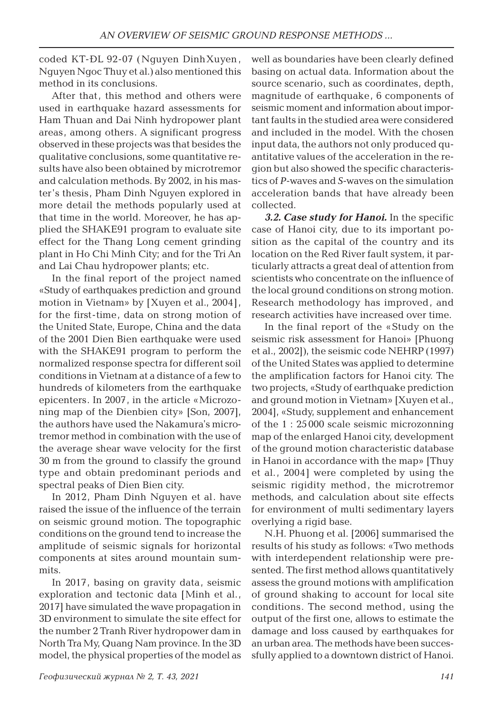coded KT-ĐL 92-07 (Nguyen DinhXuyen , Nguyen Ngoc Thuy et al.) also mentioned this method in its conclusions.

After that, this method and others were used in earthquake hazard assessments for Ham Thuan and Dai Ninh hydropower plant areas, among others. A significant progress observed in these projects was that besides the qualitative conclusions, some quantitative results have also been obtained by microtremor and calculation methods. By 2002, in his master's thesis, Pham Dinh Nguyen explored in more detail the methods popularly used at that time in the world. Moreover, he has applied the SHAKE91 program to evaluate site effect for the Thang Long cement grinding plant in Ho Chi Minh City; and for the Tri An and Lai Chau hydropower plants; etc.

In the final report of the project named «Study of earthquakes prediction and ground motion in Vietnam» by [Xuyen et al., 2004], for the first-time, data on strong motion of the United State, Europe, China and the data of the 2001 Dien Bien earthquake were used with the SHAKE91 program to perform the normalized response spectra for different soil conditions in Vietnam at a distance of a few to hundreds of kilometers from the earthquake epicenters. In 2007, in the article «Microzoning map of the Dienbien city» [Son, 2007], the authors have used the Nakamura's microtremor method in combination with the use of the average shear wave velocity for the first 30 m from the ground to classify the ground type and obtain predominant periods and spectral peaks of Dien Bien city.

In 2012, Pham Dinh Nguyen et al. have raised the issue of the influence of the terrain on seismic ground motion. The topographic conditions on the ground tend to increase the amplitude of seismic signals for horizontal components at sites around mountain summits.

In 2017, basing on gravity data, seismic exploration and tectonic data [Minh et al., 2017] have simulated the wave propagation in 3D environment to simulate the site effect for the number 2 Tranh River hydropower dam in North Tra My, Quang Nam province. In the 3D model, the physical properties of the model as

well as boundaries have been clearly defined basing on actual data. Information about the source scenario, such as coordinates, depth, magnitude of earthquake, 6 components of seismic moment and information about important faults in the studied area were considered and included in the model. With the chosen input data, the authors not only produced quantitative values of the acceleration in the region but also showed the specific characteristics of *P*-waves and *S*-waves on the simulation acceleration bands that have already been collected.

*3.2. Case study for Hanoi.* In the specific case of Hanoi city, due to its important position as the capital of the country and its location on the Red River fault system, it particularly attracts a great deal of attention from scientists who concentrate on the influence of the local ground conditions on strong motion. Research methodology has improved, and research activities have increased over time.

In the final report of the «Study on the seismic risk assessment for Hanoi» [Phuong et al., 2002]), the seismic code NEHRP (1997) of the United States was applied to determine the amplification factors for Hanoi city. The two projects, «Study of earthquake prediction and ground motion in Vietnam» [Xuyen et al., 2004], «Study, supplement and enhancement of the 1 : 25 000 scale seismic microzonning map of the enlarged Hanoi city, development of the ground motion characteristic database in Hanoi in accordance with the map» [Thuy et al., 2004] were completed by using the seismic rigidity method, the microtremor methods, and calculation about site effects for environment of multi sedimentary layers overlying a rigid base.

N.H. Phuong et al. [2006] summarised the results of his study as follows: «Two methods with interdependent relationship were presented. The first method allows quantitatively assess the ground motions with amplification of ground shaking to account for local site conditions. The second method, using the output of the first one, allows to estimate the damage and loss caused by earthquakes for an urban area. The methods have been successfully applied to a downtown district of Hanoi.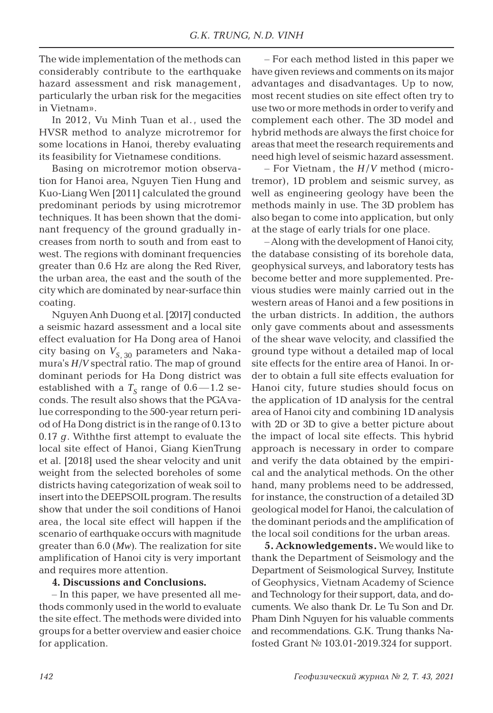The wide implementation of the methods can considerably contribute to the earthquake hazard assessment and risk management, particularly the urban risk for the megacities in Vietnam».

In 2012, Vu Minh Tuan et al., used the HVSR method to analyze microtremor for some locations in Hanoi, thereby evaluating its feasibility for Vietnamese conditions.

Basing on microtremor motion observation for Hanoi area, Nguyen Tien Hung and Kuo-Liang Wen [2011] calculated the ground predominant periods by using microtremor techniques. It has been shown that the dominant frequency of the ground gradually increases from north to south and from east to west. The regions with dominant frequencies greater than 0.6 Hz are along the Red River, the urban area, the east and the south of the city which are dominated by near-surface thin coating.

Nguyen Anh Duong et al. [2017] conducted a seismic hazard assessment and a local site effect evaluation for Ha Dong area of Hanoi city basing on  $V_{S-30}$  parameters and Nakamura's *H*/*V* spectral ratio. The map of ground dominant periods for Ha Dong district was established with a  $T_s$  range of  $0.6 - 1.2$  seconds. The result also shows that the PGA value corresponding to the 500-year return period of Ha Dong district is in the range of 0.13 to 0.17 *g*. Withthe first attempt to evaluate the local site effect of Hanoi, Giang KienTrung et al. [2018] used the shear velocity and unit weight from the selected boreholes of some districts having categorization of weak soil to insert into the DEEPSOIL program. The results show that under the soil conditions of Hanoi area, the local site effect will happen if the scenario of earthquake occurs with magnitude greater than 6.0 (*Mw*). The realization for site amplification of Hanoi city is very important and requires more attention.

#### **4. Discussions and Conclusions.**

– In this paper, we have presented all methods commonly used in the world to evaluate the site effect. The methods were divided into groups for a better overview and easier choice for application.

– For each method listed in this paper we have given reviews and comments on its major advantages and disadvantages. Up to now, most recent studies on site effect often try to use two or more methods in order to verify and complement each other. The 3D model and hybrid methods are always the first choice for areas that meet the research requirements and need high level of seismic hazard assessment.

– For Vietnam , the *H* /*V* method (microtremor), 1D problem and seismic survey, as well as engineering geology have been the methods mainly in use. The 3D problem has also began to come into application, but only at the stage of early trials for one place.

– Along with the development of Hanoi city, the database consisting of its borehole data, geophysical surveys, and laboratory tests has become better and more supplemented. Previous studies were mainly carried out in the western areas of Hanoi and a few positions in the urban districts. In addition, the authors only gave comments about and assessments of the shear wave velocity, and classified the ground type without a detailed map of local site effects for the entire area of Hanoi. In order to obtain a full site effects evaluation for Hanoi city, future studies should focus on the application of 1D analysis for the central area of Hanoi city and combining 1D analysis with 2D or 3D to give a better picture about the impact of local site effects. This hybrid approach is necessary in order to compare and verify the data obtained by the empirical and the analytical methods. On the other hand, many problems need to be addressed, for instance, the construction of a detailed 3D geological model for Hanoi, the calculation of the dominant periods and the amplification of the local soil conditions for the urban areas.

**5. Acknowledgements.** We would like to thank the Department of Seismology and the Department of Seismological Survey, Institute of Geophysics, Vietnam Academy of Science and Technology for their support, data, and documents. We also thank Dr. Le Tu Son and Dr. Pham Dinh Nguyen for his valuable comments and recommendations. G.K. Trung thanks Nafosted Grant № 103.01-2019.324 for support.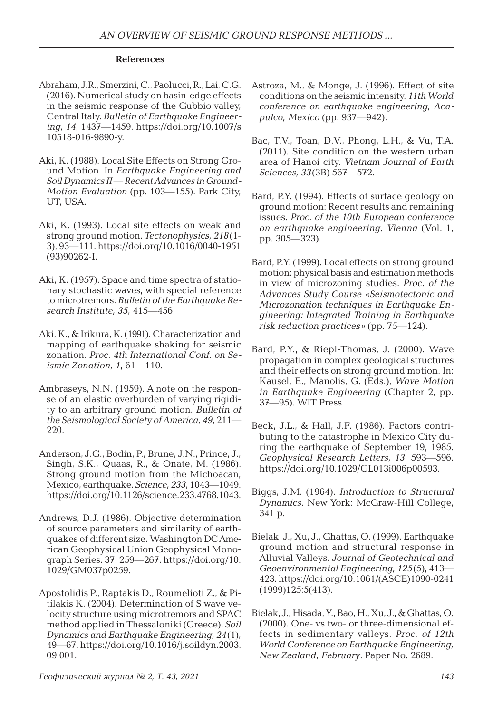#### **References**

- Abraham, J.R., Smerzini, C., Paolucci, R., Lai, C.G. (2016). Numerical study on basin-edge effects in the seismic response of the Gubbio valley, Central Italy. *Bulletin of Earthquake Engineering, 14*, 1437—1459. https://doi.org/10.1007/s 10518-016-9890-y.
- Aki, K. (1988). Local Site Effects on Strong Ground Motion. In *Earthquake Engineering and Soil Dynamics II* — *Recent Advances in Ground-Motion Evaluation* (pp. 103—155). Park City, UT, USA.
- Aki, K. (1993). Local site effects on weak and strong ground motion. *Tectonophysics, 218*(1- 3), 93—111. https://doi.org/10.1016/0040-1951 (93)90262-I.
- Aki, K. (1957). Space and time spectra of stationary stochastic waves, with special reference to microtremors. *Bulletin of the Earthquake Research Institute, 35*, 415—456.
- Aki, K., & Irikura, K. (1991). Characterization and mapping of earthquake shaking for seismic zonation. *Proc. 4th International Conf. on Seismic Zonation, 1*, 61—110.
- Ambraseys, N.N. (1959). A note on the response of an elastic overburden of varying rigidity to an arbitrary ground motion. *Bulletin of the Seismological Society of America, 49*, 211— 220.
- Anderson, J.G., Bodin, P., Brune, J.N., Prince, J., Singh, S.K., Quaas, R., & Onate, M. (1986). Strong ground motion from the Michoacan, Mexico, earthquake. *Science, 233*, 1043—1049. https://doi.org/10.1126/science.233.4768.1043.
- Andrews, D.J. (1986). Objective determination of source parameters and similarity of earthquakes of different size. Washington DC American Geophysical Union Geophysical Monograph Series. 37. 259—267. https://doi.org/10. 1029/GM037p0259.
- Apostolidis P., Raptakis D., Roumelioti Z., & Pitilakis K. (2004). Determination of S wave velocity structure using microtremors and SPAC method applied in Thessaloniki (Greece). *Soil Dynamics and Earthquake Engineering, 24*(1), 49—67. https://doi.org/10.1016/j.soildyn.2003. 09.001.
- Astroza, M., & Monge, J. (1996). Effect of site conditions on the seismic intensity. *11th World conference on earthquake engineering, Acapulco, Mexico* (pp. 937—942).
- Bac, T.V., Toan, D.V., Phong, L.H., & Vu, T.A. (2011). Site condition on the western urban area of Hanoi city. *Vietnam Journal of Earth Sciences, 33*(3B) 567—572.
- Bard, P.Y. (1994). Effects of surface geology on ground motion: Recent results and remaining issues. *Proc. of the 10th European conference on earthquake engineering, Vienna* (Vol. 1, pp. 305—323).
- Bard, P.Y. (1999). Local effects on strong ground motion: physical basis and estimation methods in view of microzoning studies. *Proc. of the Advances Study Course «Seismotectonic and Microzonation techniques in Earthquake Engineering: Integrated Training in Earthquake risk reduction practices»* (pp. 75—124).
- Bard, P.Y., & Riepl-Thomas, J. (2000). Wave propagation in complex geological structures and their effects on strong ground motion. In: Kausel, E., Manolis, G. (Eds.), *Wave Motion in Earthquake Engineering* (Chapter 2, pp. 37—95). WIT Press.
- Beck, J.L., & Hall, J.F. (1986). Factors contributing to the catastrophe in Mexico City during the earthquake of September 19, 1985. *Geophysical Research Letters, 13*, 593—596. https://doi.org/10.1029/GL013i006p00593.
- Biggs, J.M. (1964). *Introduction to Structural Dynamics*. New York: McGraw-Hill College, 341 p.
- Bielak, J., Xu, J., Ghattas, O. (1999). Earthquake ground motion and structural response in Alluvial Valleys. *Journal of Geotechnical and Geoenvironmental Engineering, 125*(5), 413— 423. https://doi.org/10.1061/(ASCE)1090-0241 (1999)125:5(413).
- Bielak, J., Hisada, Y., Bao, H., Xu, J., & Ghattas, O. (2000). One- vs two- or three-dimensional effects in sedimentary valleys. *Proc. of 12th World Conference on Earthquake Engineering, New Zealand, February*. Paper No. 2689.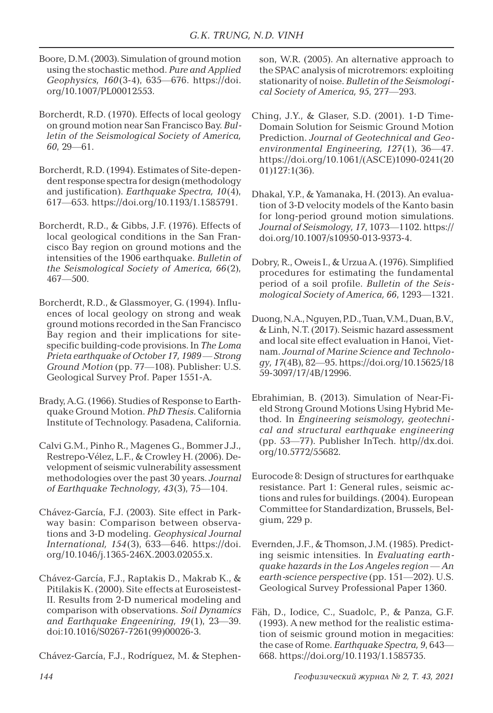- Boore, D.M. (2003). Simulation of ground motion using the stochastic method. *Pure and Applied Geophysics, 160*(3-4), 635—676. https://doi. org/10.1007/PL00012553.
- Borcherdt, R.D. (1970). Effects of local geology on ground motion near San Francisco Bay. *Bulletin of the Seismological Society of America, 60*, 29—61.
- Borcherdt, R.D. (1994). Estimates of Site-dependent response spectra for design (methodology and justification). *Earthquake Spectra, 10*(4), 617—653. https://doi.org/10.1193/1.1585791.
- Borcherdt, R.D., & Gibbs, J.F. (1976). Effects of local geological conditions in the San Francisco Bay region on ground motions and the intensities of the 1906 earthquake. *Bulletin of the Seismological Society of America, 66*(2), 467—500.
- Borcherdt, R.D., & Glassmoyer, G. (1994). Influences of local geology on strong and weak ground motions recorded in the San Francisco Bay region and their implications for sitespecific building-code provisions. In *The Loma Prieta earthquake of October 17, 1989 — Strong Ground Motion* (pp. 77—108). Publisher: U.S. Geological Survey Prof. Paper 1551-A.
- Brady, A.G. (1966). Studies of Response to Earthquake Ground Motion. *PhD Thesis*. California Institute of Technology. Pasadena, California.
- Calvi G.M., Pinho R., Magenes G., Bommer J.J., Restrepo-Vélez, L.F., & Crowley H. (2006). Development of seismic vulnerability assessment methodologies over the past 30 years. *Journal of Earthquake Technology, 43*(3), 75—104.
- Chávez-García, F.J. (2003). Site effect in Parkway basin: Comparison between observations and 3-D modeling. *Geophysical Journal International, 154*(3), 633—646. https://doi. org/10.1046/j.1365-246X.2003.02055.x.
- Chávez-García, F.J., Raptakis D., Makrab K., & Pitilakis K. (2000). Site effects at Euroseistest-II. Results from 2-D numerical modeling and comparison with observations. *Soil Dynamics and Earthquake Engeeniring, 19*(1), 23—39. doi:10.1016/S0267-7261(99)00026-3.

Chávez-García, F.J., Rodríguez, M. & Stephen-

son, W.R. (2005). An alternative approach to the SPAC analysis of microtremors: exploiting stationarity of noise. *Bulletin of the Seismological Society of America, 95*, 277—293.

- Ching, J.Y., & Glaser, S.D. (2001). 1-D Time-Domain Solution for Seismic Ground Motion Prediction. *Journal of Geotechnical and Geoenvironmental Engineering, 127*(1), 36—47. https://doi.org/10.1061/(ASCE)1090-0241(20 01)127:1(36).
- Dhakal, Y.P., & Yamanaka, H. (2013). An evaluation of 3-D velocity models of the Kanto basin for long-period ground motion simulations. *Journal of Seismology, 17*, 1073—1102. https:// doi.org/10.1007/s10950-013-9373-4.
- Dobry, R., Oweis I., & Urzua A. (1976). Simplified procedures for estimating the fundamental period of a soil profile. *Bulletin of the Seismological Society of America, 66*, 1293—1321.
- Duong, N.A., Nguyen, P.D., Tuan, V.M., Duan, B.V., & Linh, N.T. (2017). Seismic hazard assessment and local site effect evaluation in Hanoi, Vietnam. *Journal of Marine Science and Technology, 17*(4B), 82—95. https://doi.org/10.15625/18 59-3097/17/4B/12996.
- Ebrahimian, B. (2013). Simulation of Near-Field Strong Ground Motions Using Hybrid Method. In *Engineering seismology, geotechnical and structural earthquake engineering* (pp. 53—77). Publisher InTech. http//dx.doi. org/10.5772/55682.
- Eurocode 8: Design of structures for earthquake resistance. Part 1: General rules, seismic actions and rules for buildings. (2004). European Committee for Standardization, Brussels, Belgium, 229 p.
- Evernden, J.F., & Thomson, J.M. (1985). Predicting seismic intensities. In *Evaluating earthquake hazards in the Los Angeles region — An earth-science perspective* (pp. 151—202). U.S. Geological Survey Professional Paper 1360.
- Fäh, D., Iodice, C., Suadolc, P., & Panza, G.F. (1993). A new method for the realistic estimation of seismic ground motion in megacities: the case of Rome. *Earthquake Spectra, 9*, 643— 668. https://doi.org/10.1193/1.1585735.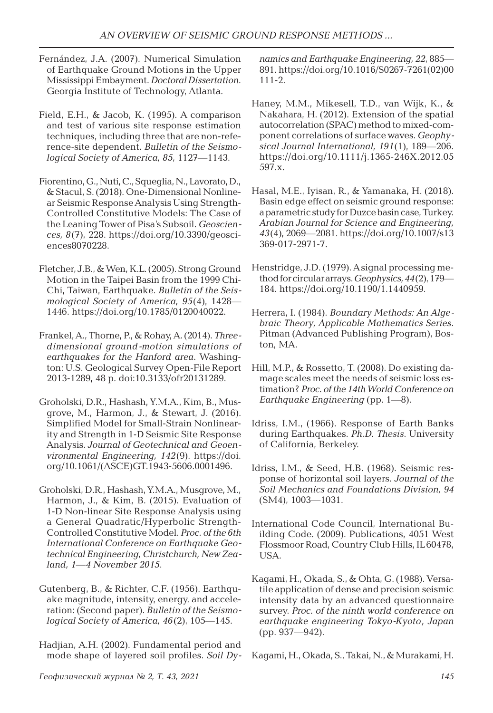- Fernández, J.A. (2007). Numerical Simulation of Earthquake Ground Motions in the Upper Mississippi Embayment. *Doctoral Dissertation*. Georgia Institute of Technology, Atlanta.
- Field, E.H., & Jacob, K. (1995). A comparison and test of various site response estimation techniques, including three that are non-reference-site dependent. *Bulletin of the Seismological Society of America, 85*, 1127—1143.
- Fiorentino, G., Nuti, C., Squeglia, N., Lavorato, D., & Stacul, S. (2018). One-Dimensional Nonlinear Seismic Response Analysis Using Strength-Controlled Constitutive Models: The Case of the Leaning Tower of Pisa's Subsoil. *Geosciences, 8*(7), 228. https://doi.org/10.3390/geosciences8070228.
- Fletcher, J.B., & Wen, K.L. (2005). Strong Ground Motion in the Taipei Basin from the 1999 Chi-Chi, Taiwan, Earthquake. *Bulletin of the Seismological Society of America, 95*(4), 1428— 1446. https://doi.org/10.1785/0120040022.
- Frankel, A., Thorne, P., & Rohay, A. (2014). *Threedimensional ground-motion simulations of earthquakes for the Hanford area*. Washington: U.S. Geological Survey Open-File Report 2013-1289, 48 p. doi:10.3133/ofr20131289.
- Groholski, D.R., Hashash, Y.M.A., Kim, B., Musgrove, M., Harmon, J., & Stewart, J. (2016). Simplified Model for Small-Strain Nonlinearity and Strength in 1-D Seismic Site Response Analysis. *Journal of Geotechnical and Geoenvironmental Engineering, 142*(9). https://doi. org/10.1061/(ASCE)GT.1943-5606.0001496.
- Groholski, D.R., Hashash, Y.M.A., Musgrove, M., Harmon, J., & Kim, B. (2015). Evaluation of 1-D Non-linear Site Response Analysis using a General Quadratic/Hyperbolic Strength-Controlled Constitutive Model. *Proc. of the 6th International Conference on Earthquake Geotechnical Engineering, Christchurch, New Zealand, 1—4 November 2015*.
- Gutenberg, B., & Richter, C.F. (1956). Earthquake magnitude, intensity, energy, and acceleration: (Second paper). *Bulletin of the Seismological Society of America, 46*(2), 105—145.
- Hadjian, A.H. (2002). Fundamental period and mode shape of layered soil profiles. *Soil Dy-*

*namics and Earthquake Engineering, 22*, 885— 891. https://doi.org/10.1016/S0267-7261(02)00 111-2.

- Haney, M.M., Mikesell, T.D., van Wijk, K., & Nakahara, H. (2012). Extension of the spatial autocorrelation (SPAC) method to mixed-component correlations of surface waves. *Geophysical Journal International, 191*(1), 189—206. https://doi.org/10.1111/j.1365-246X.2012.05 597.x.
- Hasal, M.E., Iyisan, R., & Yamanaka, H. (2018). Basin edge effect on seismic ground response: a parametric study for Duzce basin case, Turkey. *Arabian Journal for Science and Engineering, 43*(4), 2069—2081. https://doi.org/10.1007/s13 369-017-2971-7.
- Henstridge, J.D. (1979). A signal processing method for circular arrays. *Geophysics, 44*(2), 179— 184. https://doi.org/10.1190/1.1440959.
- Herrera, I. (1984). *Boundary Methods: An Algebraic Theory, Applicable Mathematics Series*. Pitman (Advanced Publishing Program), Boston, MA.
- Hill, M.P., & Rossetto, T. (2008). Do existing damage scales meet the needs of seismic loss estimation? *Proc. of the 14th World Conference on Earthquake Engineering* (pp. 1—8).
- Idriss, I.M., (1966). Response of Earth Banks during Earthquakes. *Ph.D. Thesis*. University of California, Berkeley.
- Idriss, I.M., & Seed, H.B. (1968). Seismic response of horizontal soil layers. *Journal of the Soil Mechanics and Foundations Division, 94* (SM4), 1003—1031.
- International Code Council, International Building Code. (2009). Publications, 4051 West Flossmoor Road, Country Club Hills, IL 60478, USA.
- Kagami, H., Okada, S., & Ohta, G. (1988). Versatile application of dense and precision seismic intensity data by an advanced questionnaire survey. *Proc. of the ninth world conference on earthquake engineering Tokyo-Kyoto, Japan* (pp. 937—942).

Kagami, H., Okada, S., Takai, N., & Murakami, H.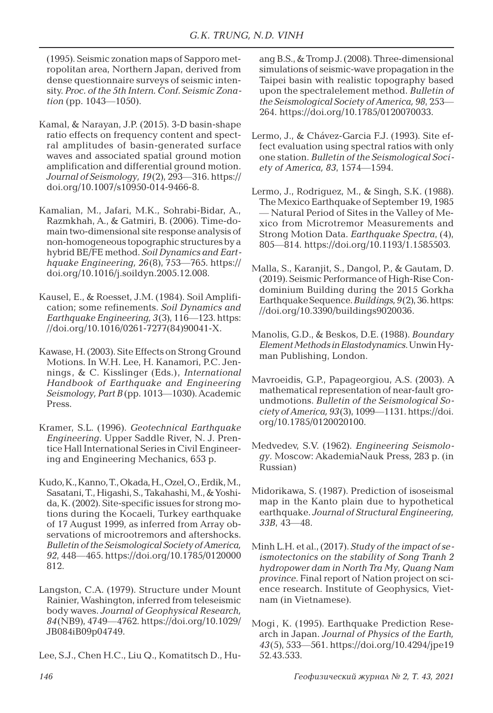(1995). Seismic zonation maps of Sapporo metropolitan area, Northern Japan, derived from dense questionnaire surveys of seismic intensity. *Proc. of the 5th Intern. Conf. Seismic Zonation* (pp. 1043—1050).

- Kamal, & Narayan, J.P. (2015). 3-D basin-shape ratio effects on frequency content and spectral amplitudes of basin-generated surface waves and associated spatial ground motion amplification and differential ground motion. *Journal of Seismology, 19*(2), 293—316. https:// doi.org/10.1007/s10950-014-9466-8.
- Kamalian, M., Jafari, M.K., Sohrabi-Bidar, A., Razmkhah, A., & Gatmiri, B. (2006). Time-domain two-dimensional site response analysis of non-homogeneous topographic structures by a hybrid BE/FE method. *Soil Dynamics and Earthquake Engineering, 26*(8), 753—765. https:// doi.org/10.1016/j.soildyn.2005.12.008.
- Kausel, E., & Roesset, J.M. (1984). Soil Amplification; some refinements. *Soil Dynamics and Earthquake Engineering, 3*(3), 116—123. https: //doi.org/10.1016/0261-7277(84)90041-X.
- Kawase, H. (2003). Site Effects on Strong Ground Motions. In W.H. Lee, H. Kanamori, P.C. Jennings, & C. Kisslinger (Eds.), *International Handbook of Earthquake and Engineering Seismology, Part B* (pp. 1013—1030). Academic Press.
- Kramer, S.L. (1996). *Geotechnical Earthquake Engineering*. Upper Saddle River, N. J. Prentice Hall International Series in Civil Engineering and Engineering Mechanics, 653 p.
- Kudo, K., Kanno, T., Okada, H., Ozel, O., Erdik, M., Sasatani, T., Higashi, S., Takahashi, M., & Yoshida, K. (2002). Site-specific issues for strong motions during the Kocaeli, Turkey earthquake of 17 August 1999, as inferred from Array observations of microotremors and aftershocks. *Bulletin of the Seismological Society of America, 92*, 448—465. https://doi.org/10.1785/0120000 812.
- Langston, C.A. (1979). Structure under Mount Rainier, Washington, inferred from teleseismic body waves. *Journal of Geophysical Research, 84*(NB9), 4749—4762. https://doi.org/10.1029/ JB084iB09p04749.
- Lee, S.J., Chen H.C., Liu Q., Komatitsch D., Hu-

ang B.S., & Tromp J. (2008). Three-dimensional simulations of seismic-wave propagation in the Taipei basin with realistic topography based upon the spectralelement method. *Bulletin of the Seismological Society of America, 98*, 253— 264. https://doi.org/10.1785/0120070033.

- Lermo, J., & Chávez-Garcia F.J. (1993). Site effect evaluation using spectral ratios with only one station. *Bulletin of the Seismological Society of America, 83*, 1574—1594.
- Lermo, J., Rodriguez, M., & Singh, S.K. (1988). The Mexico Earthquake of September 19, 1985 — Natural Period of Sites in the Valley of Mexico from Microtremor Measurements and Strong Motion Data. *Earthquake Spectra*, (4), 805—814. https://doi.org/10.1193/1.1585503.
- Malla, S., Karanjit, S., Dangol, P., & Gautam, D. (2019). Seismic Performance of High-Rise Condominium Building during the 2015 Gorkha Earthquake Sequence. *Buildings, 9*(2), 36. https: //doi.org/10.3390/buildings9020036.
- Manolis, G.D., & Beskos, D.E. (1988). *Boundary Element Methods in Elastodynamics*. Unwin Hyman Publishing, London.
- Mavroeidis, G.P., Papageorgiou, A.S. (2003). A mathematical representation of near-fault groundmotions. *Bulletin of the Seismological Society of America, 93*(3), 1099—1131. https://doi. org/10.1785/0120020100.
- Меdvedev, S.V. (1962). *Engineering Seismology*. Moscow: AkademiaNauk Press, 283 p. (in Russian)
- Midorikawa, S. (1987). Prediction of isoseismal map in the Kanto plain due to hypothetical earthquake. *Journal of Structural Engineering, 33B*, 43—48.
- Minh L.H. et al., (2017). *Study of the impact of seismotectonics on the stability of Song Tranh 2 hydropower dam in North Tra My, Quang Nam province*. Final report of Nation project on science research. Institute of Geophysics, Vietnam (in Vietnamese).
- Mogi, K. (1995). Earthquake Prediction Research in Japan. *Journal of Physics of the Earth, 43*(5), 533—561. https://doi.org/10.4294/jpe19 52.43.533.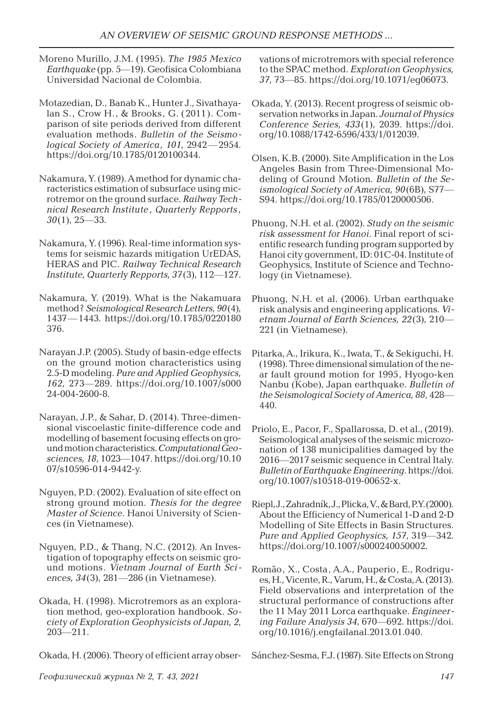- Moreno Murillo, J.M. (1995). *The 1985 Mexico Earthquake* (pp. 5—19). Geofisica Colombiana Universidad Nacional de Colombia.
- Motazedian, D., Banab K., Hunter J., Sivathayalan S., Crow H., & Brooks, G. (2011). Comparison of site periods derived from different evaluation methods. *Bulletin of the Seismological Society of America, 101*, 2942—2954. https://doi.org/10.1785/0120100344.
- Nakamura, Y. (1989). A method for dynamic characteristics estimation of subsurface using microtremor on the ground surface. *Railway Technical Research Institute , Quarterly Repports , 30*(1), 25—33.
- Nakamura, Y. (1996). Real-time information systems for seismic hazards mitigation UrEDAS, HERAS and PIC. *Railway Technical Research Institute, Quarterly Repports, 37*(3), 112—127.
- Nakamura, Y. (2019). What is the Nakamuara method? *Seismological Research Letters, 90*(4), 1437—1443. https://doi.org/10.1785/0220180 376.
- Narayan J.P. (2005). Study of basin-edge effects on the ground motion characteristics using 2.5-D modeling. *Pure and Applied Geophysics, 162*, 273—289. https://doi.org/10.1007/s000 24-004-2600-8.
- Narayan, J.P., & Sahar, D. (2014). Three-dimensional viscoelastic finite-difference code and modelling of basement focusing effects on ground motion characteristics. *Computational Geosciences, 18*, 1023—1047. https://doi.org/10.10 07/s10596-014-9442-y.
- Nguyen, P.D. (2002). Evaluation of site effect on strong ground motion. *Thesis for the degree Master of Science*. Hanoi University of Sciences (in Vietnamese).
- Nguyen, P.D., & Thang, N.C. (2012). An Investigation of topography effects on seismic ground motions. *Vietnam Journal of Earth Sciences, 34*(3), 281—286 (in Vietnamese).
- Okada, H. (1998). Microtremors as an exploration method, geo-exploration handbook. *Society of Exploration Geophysicists of Japan, 2*, 203—211.

Okada, H. (2006). Theory of efficient array obser-

vations of microtremors with special reference to the SPAC method. *Exploration Geophysics, 37*, 73—85. https://doi.org/10.1071/eg06073.

- Okada, Y. (2013). Recent progress of seismic observation networks in Japan. *Journal of Physics Conference Series, 433*(1), 2039. https://doi. org/10.1088/1742-6596/433/1/012039.
- Olsen, K.B. (2000). Site Amplification in the Los Angeles Basin from Three-Dimensional Modeling of Ground Motion. *Bulletin of the Seismological Society of America, 90*(6B), S77— S94. https://doi.org/10.1785/0120000506.
- Phuong, N.H. et al. (2002). *Study on the seismic risk assessment for Hanoi*. Final report of scientific research funding program supported by Hanoi city government, ID: 01C-04. Institute of Geophysics, Institute of Science and Technology (in Vietnamese).
- Phuong, N.H. et al. (2006). Urban earthquake risk analysis and engineering applications. *Vietnam Journal of Earth Sciences, 22*(3), 210— 221 (in Vietnamese).
- Pitarka, A., Irikura, K., Iwata, T., & Sekiguchi, H. (1998). Three dimensional simulation of the near fault ground motion for 1995, Hyogo-ken Nanbu (Kobe), Japan earthquake. *Bulletin of the Seismological Society of America, 88*, 428— 440.
- Priolo, E., Pacor, F., Spallarossa, D. et al., (2019). Seismological analyses of the seismic microzonation of 138 municipalities damaged by the 2016—2017 seismic sequence in Central Italy. *Bulletin of Earthquake Engineering*. https://doi. org/10.1007/s10518-019-00652-x.
- Riepl, J., Zahradník, J., Plicka, V., & Bard, P.Y. (2000)*.* About the Efficiency of Numerical 1-D and 2-D Modelling of Site Effects in Basin Structures. *Pure and Applied Geophysics, 157*, 319—342. https://doi.org/10.1007/s000240050002.
- Romão, X., Costa, A.A., Pauperio, E., Rodrigues, H., Vicente, R., Varum, H., & Costa, A. (2013). Field observations and interpretation of the structural performance of constructions after the 11 May 2011 Lorca earthquake. *Engineering Failure Analysis 34*, 670—692. https://doi. org/10.1016/j.engfailanal.2013.01.040.

Sánchez-Sesma, F.J. (1987). Site Effects on Strong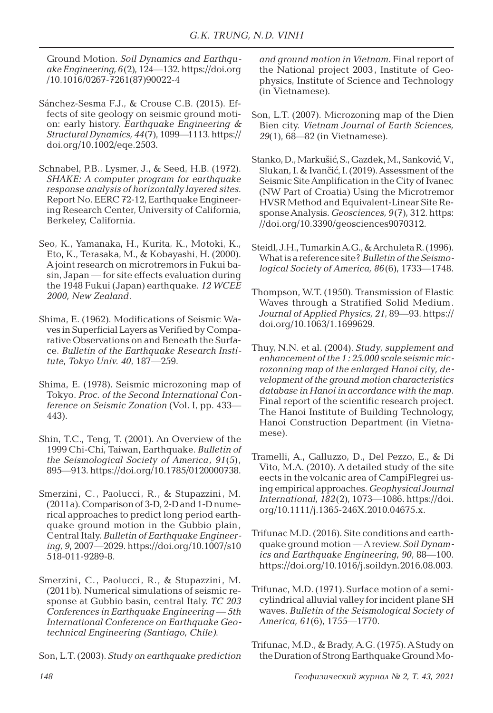Ground Motion. *Soil Dynamics and Earthquake Engineering, 6*(2), 124—132. https://doi.org /10.1016/0267-7261(87)90022-4

- Sánchez-Sesma F.J., & Crouse C.B. (2015). Effects of site geology on seismic ground motion: early history. *Earthquake Engineering & Structural Dynamics, 44*(7), 1099—1113. https:// doi.org/10.1002/eqe.2503.
- Schnabel, P.B., Lysmer, J., & Seed, H.B. (1972). *SHAKE: A computer program for earthquake response analysis of horizontally layered sites*. Report No. EERC 72-12, Earthquake Engineering Research Center, University of California, Berkeley, California.
- Seo, K., Yamanaka, H., Kurita, K., Motoki, K., Eto, K., Terasaka, M., & Kobayashi, H. (2000). A joint research on microtremors in Fukui basin, Japan — for site effects evaluation during the 1948 Fukui (Japan) earthquake. *12 WCEE 2000, New Zealand*.
- Shima, E. (1962). Modifications of Seismic Waves in Superficial Layers as Verified by Comparative Observations on and Beneath the Surface. *Bulletin of the Earthquake Research Institute, Tokyo Univ. 40*, 187—259.
- Shima, E. (1978). Seismic microzoning map of Tokyo. *Proc. of the Second International Conference on Seismic Zonation* (Vol. I, pp. 433— 443).
- Shin, T.C., Teng, T. (2001). An Overview of the 1999 Chi-Chi, Taiwan, Earthquake. *Bulletin of the Seismological Society of America, 91*(5), 895—913. https://doi.org/10.1785/0120000738.
- Smerzini, C., Paolucci, R., & Stupazzini, M. (2011а). Comparison of 3-D, 2-D and 1-D numerical approaches to predict long period earthquake ground motion in the Gubbio plain, Central Italy. *Bulletin of Earthquake Engineering, 9*, 2007—2029. https://doi.org/10.1007/s10 518-011-9289-8.
- Smerzini, C., Paolucci, R., & Stupazzini, M. (2011b). Numerical simulations of seismic response at Gubbio basin, central Italy. *TC 203 Conferences in Earthquake Engineering* — *5th International Conference on Earthquake Geotechnical Engineering (Santiago, Chile)*.

Son, L.T. (2003). *Study on earthquake prediction* 

*and ground motion in Vietnam*. Final report of the National project 2003 , Institute of Geophysics, Institute of Science and Technology (in Vietnamese).

- Son, L.T. (2007). Microzoning map of the Dien Bien city. *Vietnam Journal of Earth Sciences, 29*(1), 68—82 (in Vietnamese).
- Stanko, D., Markušić, S., Gazdek, M., Sanković, V., Slukan, I. & Ivančić, I. (2019). Assessment of the Seismic Site Amplification in the City of Ivanec (NW Part of Croatia) Using the Microtremor HVSR Method and Equivalent-Linear Site Response Analysis. *Geosciences, 9*(7), 312. https: //doi.org/10.3390/geosciences9070312.
- Steidl, J.H., Tumarkin A.G., & Archuleta R. (1996). What is a reference site? *Bulletin of the Seismological Society of America, 86*(6), 1733—1748.
- Thompson, W.T. (1950). Transmission of Elastic Waves through a Stratified Solid Medium. *Journal of Applied Physics, 21*, 89—93. https:// doi.org/10.1063/1.1699629.
- Thuy, N.N. et al. (2004). *Study, supplement and enhancement of the 1 : 25.000 scale seismic microzonning map of the enlarged Hanoi city, development of the ground motion characteristics database in Hanoi in accordance with the map*. Final report of the scientific research project. The Hanoi Institute of Building Technology, Hanoi Construction Department (in Vietnamese).
- Tramelli, A., Galluzzo, D., Del Pezzo, E., & Di Vito, M.A. (2010). A detailed study of the site eects in the volcanic area of CampiFlegrei using empirical approaches. *Geophysical Journal International, 182*(2), 1073—1086. https://doi. org/10.1111/j.1365-246X.2010.04675.x.
- Trifunac M.D. (2016). Site conditions and earthquake ground motion — A review. *Soil Dynamics and Earthquake Engineering, 90*, 88—100. https://doi.org/10.1016/j.soildyn.2016.08.003.
- Trifunac, M.D. (1971). Surface motion of a semicylindrical alluvial valley for incident plane SH waves. *Bulletin of the Seismological Society of America, 61*(6), 1755—1770.

Trifunac, M.D., & Brady, A.G. (1975). A Study on the Duration of Strong Earthquake Ground Mo-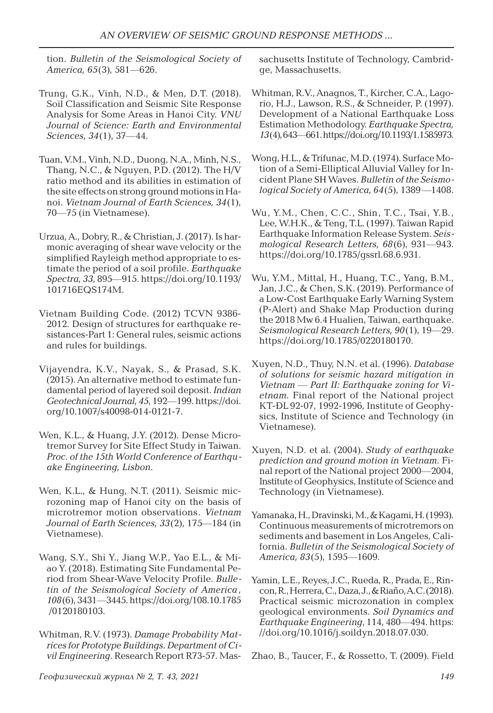tion. *Bulletin of the Seismological Society of America, 65*(3), 581—626.

- Trung, G.K., Vinh, N.D., & Men, D.T. (2018). Soil Classification and Seismic Site Response Analysis for Some Areas in Hanoi City. *VNU Journal of Science: Earth and Environmental Sciences, 34*(1), 37—44.
- Tuan, V.M., Vinh, N.D., Duong, N.A., Minh, N.S., Thang, N.C., & Nguyen, P.D. (2012). The H/V ratio method and its abilities in estimation of the site effects on strong ground motions in Hanoi. *Vietnam Journal of Earth Sciences, 34*(1), 70—75 (in Vietnamese).
- Urzua, A., Dobry, R., & Christian, J. (2017). Is harmonic averaging of shear wave velocity or the simplified Rayleigh method appropriate to estimate the period of a soil profile. *Earthquake Spectra, 33*, 895—915. https://doi.org/10.1193/ 101716EQS174M.
- Vietnam Building Code. (2012) TCVN 9386- 2012. Design of structures for earthquake resistances-Part 1: General rules, seismic actions and rules for buildings.
- Vijayendra, K.V., Nayak, S., & Prasad, S.K. (2015). An alternative method to estimate fundamental period of layered soil deposit. *Indian Geotechnical Journal, 45*, 192—199. https://doi. org/10.1007/s40098-014-0121-7.
- Wen, K.L., & Huang, J.Y. (2012). Dense Microtremor Survey for Site Effect Study in Taiwan. *Proc. of the 15th World Conference of Earthquake Engineering, Lisbon*.
- Wen, K.L., & Hung, N.T. (2011). Seismic microzoning map of Hanoi city on the basis of microtremor motion observations. *Vietnam Journal of Earth Sciences, 33*(2), 175—184 (in Vietnamese).
- Wang, S.Y., Shi Y., Jiang W.P., Yao E.L., & Miao Y. (2018). Estimating Site Fundamental Period from Shear-Wave Velocity Profile. *Bulletin of the Seismological Society of America , 108*(6), 3431—3445. https://doi.org/108.10.1785 /0120180103.
- Whitman, R.V. (1973). *Damage Probability Matrices for Prototype Buildings. Department of Civil Engineering*. Research Report R73-57. Mas-

sachusetts Institute of Technology, Cambridge, Massachusetts.

- Whitman, R.V., Anagnos, T., Kircher, C.A., Lagorio, H.J., Lawson, R.S., & Schneider, P. (1997). Development of a National Earthquake Loss Estimation Methodology. *Earthquake Spectra, 13*(4), 643—661. https://doi.org/10.1193/1.1585973.
- Wong, H.L., & Trifunac, M.D. (1974). Surface Motion of a Semi-Elliptical Alluvial Valley for Incident Plane SH Waves. *Bulletin of the Seismological Society of America, 64*(5), 1389 —1408.
- Wu, Y.M., Chen, C.C., Shin, T.C., Tsai, Y.B., Lee, W.H.K., & Teng, T.L. (1997). Taiwan Rapid Earthquake Information Release System. *Seismological Research Letters, 68*(6), 931—943. https://doi.org/10.1785/gssrl.68.6.931.
- Wu, Y.M., Mittal, H., Huang, T.C., Yang, B.M., Jan, J.C., & Chen, S.K. (2019). Performance of a Low-Cost Earthquake Early Warning System (P-Alert) and Shake Map Production during the 2018 Mw 6.4 Hualien, Taiwan, earthquake. *Seismological Research Letters, 90*(1), 19—29. https://doi.org/10.1785/0220180170.
- Xuyen, N.D., Thuy, N.N. et al. (1996). *Database of solutions for seismic hazard mitigation in Vietnam — Part II: Earthquake zoning for Vietnam*. Final report of the National project KT-ĐL 92-07, 1992-1996, Institute of Geophysics, Institute of Science and Technology (in Vietnamese).
- Xuyen, N.D. et al. (2004). *Study of earthquake prediction and ground motion in Vietnam*. Final report of the National project 2000—2004, Institute of Geophysics, Institute of Science and Technology (in Vietnamese).
- Yamanaka, H., Dravinski, M., & Kagami, H. (1993). Continuous measurements of microtremors on sediments and basement in Los Angeles, California. *Bulletin of the Seismological Society of America, 83*(5), 1595—1609.
- Yamin, L.E., Reyes, J.C., Rueda, R., Prada, E., Rincon, R., Herrera, C., Daza, J., & Riaño, A.C. (2018). Practical seismic microzonation in complex geological environments. *Soil Dynamics and Earthquake Engineering*, 114, 480—494. https: //doi.org/10.1016/j.soildyn.2018.07.030.

Zhao, B., Taucer, F., & Rossetto, T. (2009). Field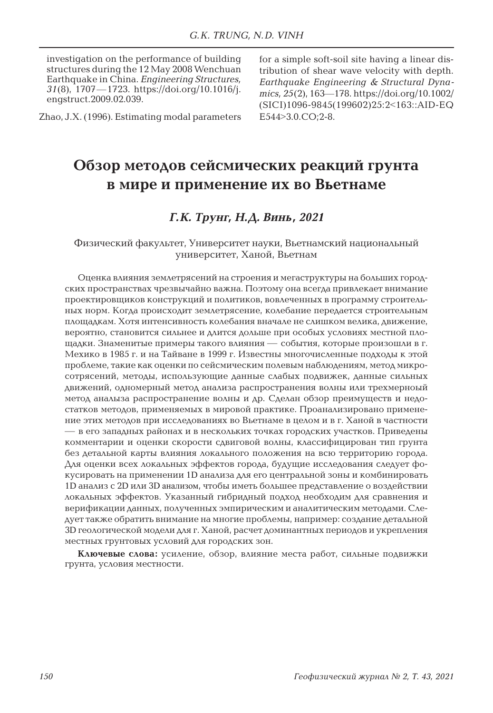investigation on the performance of building structures during the 12 May 2008 Wenchuan Earthquake in China. *Engineering Structures, 31*(8), 1707—1723. https://doi.org/10.1016/j. engstruct.2009.02.039.

Zhao, J.X. (1996). Estimating modal parameters

for a simple soft-soil site having a linear distribution of shear wave velocity with depth. *Earthquake Engineering & Structural Dynamics, 25*(2), 163—178. https://doi.org/10.1002/ (SICI)1096-9845(199602)25:2<163::AID-EQ E544>3.0.CO;2-8.

# **Обзор методов сейсмических реакций грунта в мире и применение их во Вьетнаме**

## *Г.К. Трунг, Н.Д. Винь, 2021*

Физический факультет, Университет науки, Вьетнамский национальный университет, Ханой, Вьетнам

Оценка влияния землетрясений на строения и мегаструктуры на больших городских пространствах чрезвычайно важна. Поэтому она всегда привлекает внимание проектировщиков конструкций и политиков, вовлеченных в программу строительных норм. Когда происходит землетрясение, колебание передается строительным площадкам. Хотя интенсивность колебания вначале не слишком велика, движение, вероятно, становится сильнее и длится дольше при особых условиях местной площадки. Знаменитые примеры такого влияния — события, которые произошли в г. Мехико в 1985 г. и на Тайване в 1999 г. Известны многочисленные подходы к этой проблеме, такие как оценки по сейсмическим полевым наблюдениям, метод микросотрясений, методы, использующие данные слабых подвижек, данные сильных движений, одномерный метод анализа распространения волны или трехмерноый метод аналыза распространение волны и др. Сделан обзор преимуществ и недостатков методов, применяемых в мировой практике. Проанализировано применение этих методов при исследованиях во Вьетнаме в целом и в г. Ханой в частности — в его западных районах и в нескольких точках городских участков. Приведены комментарии и оценки скорости сдвиговой волны, классифицирован тип грунта без детальной карты влияния локального положения на всю территорию города. Для оценки всех локальных эффектов города, будущие исследования следует фокусировать на применении 1D анализа для его центральной зоны и комбинировать 1D анализ с 2D или 3D анализом, чтобы иметь большее представление о воздействии локальных эффектов. Указанный гибридный подход необходим для сравнения и верификации данных, полученных эмпирическим и аналитическим методами. Следует также обратить внимание на многие проблемы, например: создание детальной 3D геологической модели для г. Ханой, расчет доминантных периодов и укрепления местных грунтовых условий для городских зон.

**Ключевые слова:** усиление, обзор, влияние места работ, сильные подвижки грунта, условия местности.